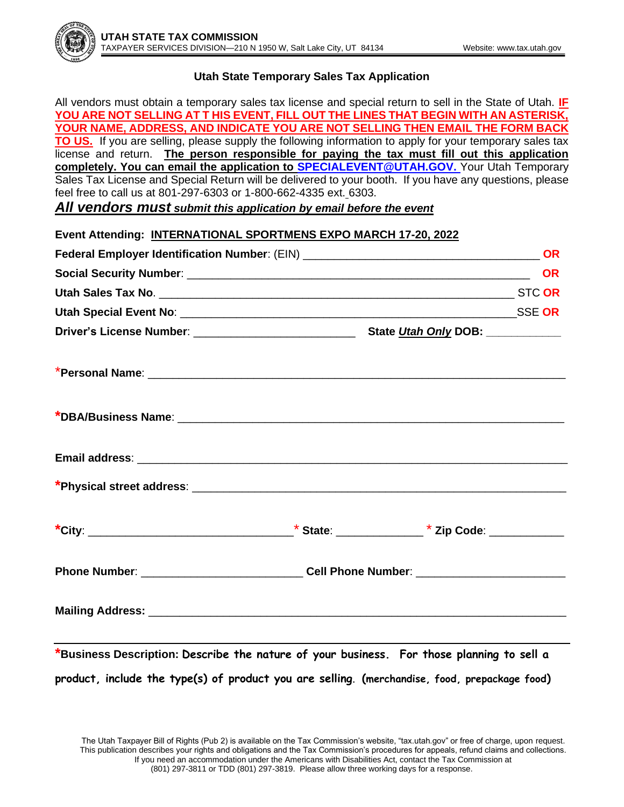

## **Utah State Temporary Sales Tax Application**

All vendors must obtain a temporary sales tax license and special return to sell in the State of Utah. **IF YOU ARE NOT SELLING AT T HIS EVENT, FILL OUT THE LINES THAT BEGIN WITH AN ASTERISK, YOUR NAME, ADDRESS, AND INDICATE YOU ARE NOT SELLING THEN EMAIL THE FORM BACK TO US.** If you are selling, please supply the following information to apply for your temporary sales tax license and return. **The person responsible for paying the tax must fill out this application completely. You can email the application to [SPECIALEVENT@UTAH.GOV.](mailto:SPECIALEVENT@UTAH.GOV)** Your Utah Temporary Sales Tax License and Special Return will be delivered to your booth. If you have any questions, please feel free to call us at 801-297-6303 or 1-800-662-4335 ext. 6303.

*All vendors must submit this application by email before the event*

| Event Attending: INTERNATIONAL SPORTMENS EXPO MARCH 17-20, 2022                                                                                                                                                               |  |  |  |
|-------------------------------------------------------------------------------------------------------------------------------------------------------------------------------------------------------------------------------|--|--|--|
|                                                                                                                                                                                                                               |  |  |  |
|                                                                                                                                                                                                                               |  |  |  |
|                                                                                                                                                                                                                               |  |  |  |
|                                                                                                                                                                                                                               |  |  |  |
|                                                                                                                                                                                                                               |  |  |  |
|                                                                                                                                                                                                                               |  |  |  |
|                                                                                                                                                                                                                               |  |  |  |
| Email address: etc. and a strategy and a strategy and a strategy and a strategy and a strategy and a strategy of the strategy and a strategy and a strategy and a strategy and a strategy and a strategy and a strategy and a |  |  |  |
|                                                                                                                                                                                                                               |  |  |  |
|                                                                                                                                                                                                                               |  |  |  |
|                                                                                                                                                                                                                               |  |  |  |
|                                                                                                                                                                                                                               |  |  |  |
| *Business Description: Describe the nature of your business. For those planning to sell a                                                                                                                                     |  |  |  |

**product, include the type(s) of product you are selling**. **(merchandise, food, prepackage food)**